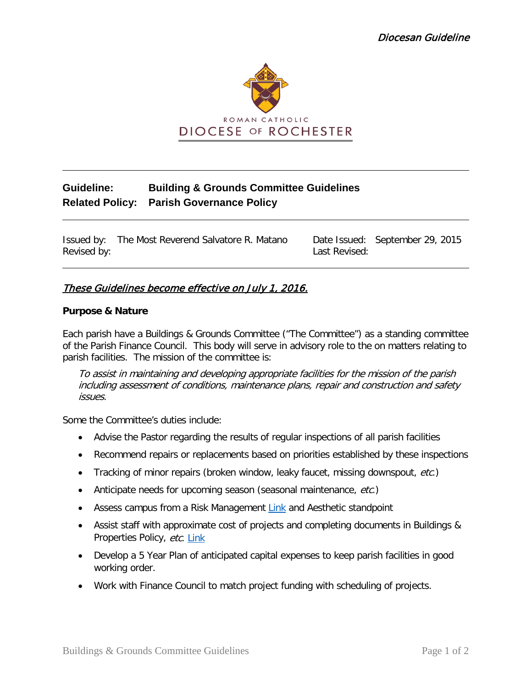

# **Guideline: Building & Grounds Committee Guidelines Related Policy: Parish Governance Policy**

Issued by: The Most Reverend Salvatore R. Matano Date Issued: September 29, 2015 Revised by: Last Revised:

# These Guidelines become effective on July 1, 2016.

#### **Purpose & Nature**

Each parish have a Buildings & Grounds Committee ("The Committee") as a standing committee of the Parish Finance Council. This body will serve in advisory role to the on matters relating to parish facilities. The mission of the committee is:

To assist in maintaining and developing appropriate facilities for the mission of the parish including assessment of conditions, maintenance plans, repair and construction and safety issues.

Some the Committee's duties include:

- Advise the Pastor regarding the results of regular inspections of all parish facilities
- Recommend repairs or replacements based on priorities established by these inspections
- Tracking of minor repairs (broken window, leaky faucet, missing downspout, etc.)
- Anticipate needs for upcoming season (seasonal maintenance, etc.)
- Assess campus from a Risk Management [Link](https://dioceseofrochester.sharepoint.com/:f:/r/Policies/Policies/Risk%20Management%20Health%20%26%20Safety%20Policy?csf=1&e=0qbny0) and Aesthetic standpoint
- Assist staff with approximate cost of projects and completing documents in Buildings & Properties Policy, etc. [Link](https://dioceseofrochester.sharepoint.com/:w:/r/Policies/Policies/Buildings%20%26%20Properties%20Policy/Buildings%20and%20Properties%20Policy.docx?d=w6dde3d95806948028fb5c01127e983ee&csf=1&e=4bBsrp)
- Develop a 5 Year Plan of anticipated capital expenses to keep parish facilities in good working order.
- Work with Finance Council to match project funding with scheduling of projects.